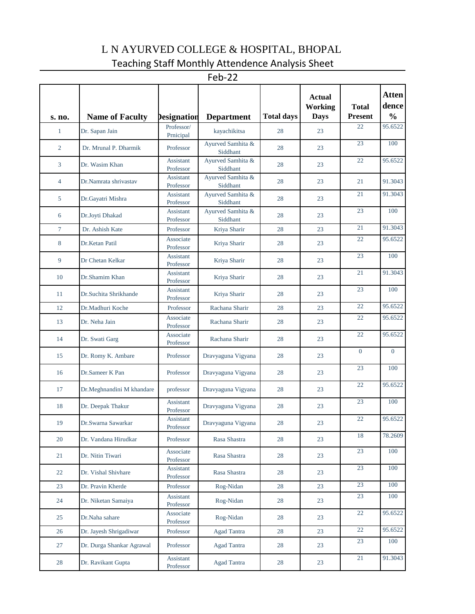## L N AYURVED COLLEGE & HOSPITAL, BHOPAL Teaching Staff Monthly Attendence Analysis Sheet

Feb-22

| s. no.         | <b>Name of Faculty</b>    | <b>Designation</b>     | <b>Department</b>             | <b>Total days</b> | <b>Actual</b><br><b>Working</b><br><b>Days</b> | <b>Total</b><br><b>Present</b> | <b>Atten</b><br>dence<br>$\frac{0}{0}$ |
|----------------|---------------------------|------------------------|-------------------------------|-------------------|------------------------------------------------|--------------------------------|----------------------------------------|
| $\mathbf{1}$   | Dr. Sapan Jain            | Professor/             | kayachikitsa                  | 28                | 23                                             | 22                             | 95.6522                                |
| $\overline{2}$ | Dr. Mrunal P. Dharmik     | Prnicipal<br>Professor | Ayurved Samhita &<br>Siddhant | 28                | 23                                             | 23                             | 100                                    |
| 3              | Dr. Wasim Khan            | Assistant<br>Professor | Ayurved Samhita &<br>Siddhant | 28                | 23                                             | 22                             | 95.6522                                |
| $\overline{4}$ | Dr.Namrata shrivastav     | Assistant<br>Professor | Ayurved Samhita &<br>Siddhant | 28                | 23                                             | 21                             | 91.3043                                |
| 5              | Dr.Gayatri Mishra         | Assistant<br>Professor | Ayurved Samhita &<br>Siddhant | 28                | 23                                             | 21                             | 91.3043                                |
| 6              | Dr.Joyti Dhakad           | Assistant<br>Professor | Ayurved Samhita &<br>Siddhant | 28                | 23                                             | 23                             | 100                                    |
| $\tau$         | Dr. Ashish Kate           | Professor              | Kriya Sharir                  | 28                | 23                                             | 21                             | 91.3043                                |
| 8              | Dr.Ketan Patil            | Associate<br>Professor | Kriya Sharir                  | 28                | 23                                             | 22                             | 95.6522                                |
| 9              | Dr Chetan Kelkar          | Assistant<br>Professor | Kriya Sharir                  | 28                | 23                                             | 23                             | 100                                    |
| 10             | Dr.Shamim Khan            | Assistant<br>Professor | Kriya Sharir                  | 28                | 23                                             | 21                             | 91.3043                                |
| 11             | Dr.Suchita Shrikhande     | Assistant<br>Professor | Kriya Sharir                  | 28                | 23                                             | 23                             | 100                                    |
| 12             | Dr.Madhuri Koche          | Professor              | Rachana Sharir                | 28                | 23                                             | 22                             | 95.6522                                |
| 13             | Dr. Neha Jain             | Associate<br>Professor | Rachana Sharir                | 28                | 23                                             | 22                             | 95.6522                                |
| 14             | Dr. Swati Garg            | Associate<br>Professor | Rachana Sharir                | 28                | 23                                             | 22                             | 95.6522                                |
| 15             | Dr. Romy K. Ambare        | Professor              | Dravyaguna Vigyana            | 28                | 23                                             | $\overline{0}$                 | $\overline{0}$                         |
| 16             | Dr.Sameer K Pan           | Professor              | Dravyaguna Vigyana            | 28                | 23                                             | 23                             | 100                                    |
| 17             | Dr.Meghnandini M khandare | professor              | Dravyaguna Vigyana            | 28                | 23                                             | 22                             | 95.6522                                |
| 18             | Dr. Deepak Thakur         | Assistant<br>Professor | Dravyaguna Vigyana            | 28                | 23                                             | 23                             | 100                                    |
| 19             | Dr.Swarna Sawarkar        | Assistant<br>Professor | Dravyaguna Vigyana            | 28                | 23                                             | 22                             | 95.6522                                |
| $20\,$         | Dr. Vandana Hirudkar      | Professor              | Rasa Shastra                  | 28                | 23                                             | 18                             | 78.2609                                |
| 21             | Dr. Nitin Tiwari          | Associate<br>Professor | Rasa Shastra                  | 28                | 23                                             | 23                             | 100                                    |
| 22             | Dr. Vishal Shivhare       | Assistant<br>Professor | Rasa Shastra                  | 28                | 23                                             | 23                             | 100                                    |
| 23             | Dr. Pravin Kherde         | Professor              | Rog-Nidan                     | 28                | 23                                             | 23                             | 100                                    |
| 24             | Dr. Niketan Samaiya       | Assistant<br>Professor | Rog-Nidan                     | 28                | 23                                             | 23                             | 100                                    |
| 25             | Dr.Naha sahare            | Associate<br>Professor | Rog-Nidan                     | 28                | 23                                             | 22                             | 95.6522                                |
| 26             | Dr. Jayesh Shrigadiwar    | Professor              | Agad Tantra                   | 28                | 23                                             | $22\,$                         | 95.6522                                |
| 27             | Dr. Durga Shankar Agrawal | Professor              | Agad Tantra                   | 28                | 23                                             | 23                             | 100                                    |
| 28             | Dr. Ravikant Gupta        | Assistant<br>Professor | Agad Tantra                   | 28                | 23                                             | 21                             | 91.3043                                |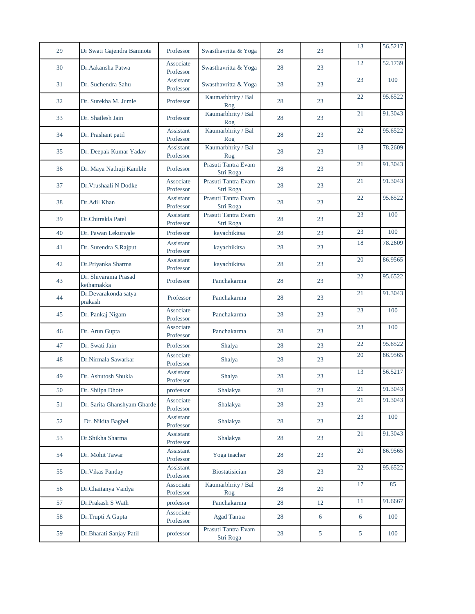| 29 | Dr Swati Gajendra Bamnote          | Professor              | Swasthavritta & Yoga             | 28     | 23 | 13     | 56.5217 |
|----|------------------------------------|------------------------|----------------------------------|--------|----|--------|---------|
| 30 | Dr.Aakansha Patwa                  | Associate<br>Professor | Swasthavritta & Yoga             | 28     | 23 | 12     | 52.1739 |
| 31 | Dr. Suchendra Sahu                 | Assistant<br>Professor | Swasthavritta & Yoga             | 28     | 23 | 23     | 100     |
| 32 | Dr. Surekha M. Jumle               | Professor              | Kaumarbhrity / Bal<br>Rog        | 28     | 23 | 22     | 95.6522 |
| 33 | Dr. Shailesh Jain                  | Professor              | Kaumarbhrity / Bal<br>Rog        | 28     | 23 | 21     | 91.3043 |
| 34 | Dr. Prashant patil                 | Assistant<br>Professor | Kaumarbhrity / Bal<br>Rog        | 28     | 23 | $22\,$ | 95.6522 |
| 35 | Dr. Deepak Kumar Yadav             | Assistant<br>Professor | Kaumarbhrity / Bal<br>Rog        | 28     | 23 | 18     | 78.2609 |
| 36 | Dr. Maya Nathuji Kamble            | Professor              | Prasuti Tantra Evam<br>Stri Roga | 28     | 23 | 21     | 91.3043 |
| 37 | Dr. Vrushaali N Dodke              | Associate<br>Professor | Prasuti Tantra Evam<br>Stri Roga | 28     | 23 | 21     | 91.3043 |
| 38 | Dr.Adil Khan                       | Assistant<br>Professor | Prasuti Tantra Evam<br>Stri Roga | 28     | 23 | 22     | 95.6522 |
| 39 | Dr.Chitrakla Patel                 | Assistant<br>Professor | Prasuti Tantra Evam<br>Stri Roga | 28     | 23 | 23     | 100     |
| 40 | Dr. Pawan Lekurwale                | Professor              | kayachikitsa                     | 28     | 23 | 23     | 100     |
| 41 | Dr. Surendra S.Rajput              | Assistant<br>Professor | kayachikitsa                     | 28     | 23 | 18     | 78.2609 |
| 42 | Dr.Priyanka Sharma                 | Assistant<br>Professor | kayachikitsa                     | 28     | 23 | 20     | 86.9565 |
| 43 | Dr. Shivarama Prasad<br>kethamakka | Professor              | Panchakarma                      | 28     | 23 | 22     | 95.6522 |
| 44 | Dr.Devarakonda satya<br>prakash    | Professor              | Panchakarma                      | 28     | 23 | 21     | 91.3043 |
| 45 | Dr. Pankaj Nigam                   | Associate<br>Professor | Panchakarma                      | 28     | 23 | 23     | 100     |
| 46 | Dr. Arun Gupta                     | Associate<br>Professor | Panchakarma                      | 28     | 23 | 23     | 100     |
| 47 | Dr. Swati Jain                     | Professor              | Shalya                           | 28     | 23 | 22     | 95.6522 |
| 48 | Dr.Nirmala Sawarkar                | Associate<br>Professor | Shalya                           | 28     | 23 | 20     | 86.9565 |
| 49 | Dr. Ashutosh Shukla                | Assistant<br>Professor | Shalya                           | 28     | 23 | 13     | 56.5217 |
| 50 | Dr. Shilpa Dhote                   | professor              | Shalakya                         | $28\,$ | 23 | 21     | 91.3043 |
| 51 | Dr. Sarita Ghanshyam Gharde        | Associate<br>Professor | Shalakya                         | 28     | 23 | 21     | 91.3043 |
| 52 | Dr. Nikita Baghel                  | Assistant<br>Professor | Shalakya                         | 28     | 23 | 23     | 100     |
| 53 | Dr.Shikha Sharma                   | Assistant<br>Professor | Shalakya                         | 28     | 23 | 21     | 91.3043 |
| 54 | Dr. Mohit Tawar                    | Assistant<br>Professor | Yoga teacher                     | 28     | 23 | $20\,$ | 86.9565 |
| 55 | Dr. Vikas Panday                   | Assistant<br>Professor | Biostatisician                   | 28     | 23 | $22\,$ | 95.6522 |
| 56 | Dr.Chaitanya Vaidya                | Associate<br>Professor | Kaumarbhrity / Bal<br>Rog        | 28     | 20 | 17     | 85      |
| 57 | Dr.Prakash S Wath                  | professor              | Panchakarma                      | 28     | 12 | $11\,$ | 91.6667 |
| 58 | Dr.Trupti A Gupta                  | Associate<br>Professor | <b>Agad Tantra</b>               | 28     | 6  | 6      | 100     |
| 59 | Dr.Bharati Sanjay Patil            | professor              | Prasuti Tantra Evam<br>Stri Roga | $28\,$ | 5  | 5      | 100     |